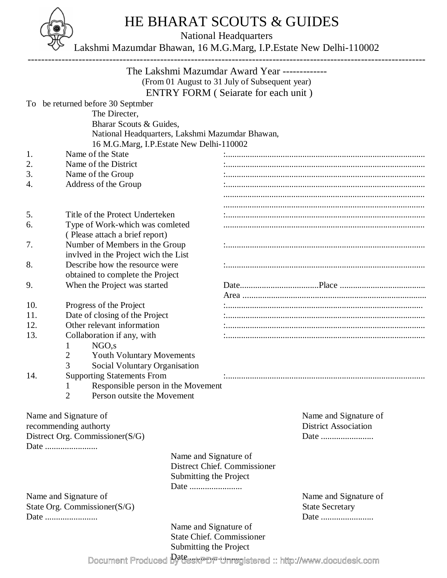

## HE BHARAT SCOUTS & GUIDES

National Headquarters

Lakshmi Mazumdar Bhawan, 16 M.G.Marg, I.P.Estate New Delhi-110002

|                                 |                                                                               |                                          | The Lakshmi Mazumdar Award Year -------------<br>(From 01 August to 31 July of Subsequent year) |                             |  |
|---------------------------------|-------------------------------------------------------------------------------|------------------------------------------|-------------------------------------------------------------------------------------------------|-----------------------------|--|
|                                 |                                                                               |                                          | ENTRY FORM (Seiarate for each unit)                                                             |                             |  |
|                                 | To be returned before 30 Septmber<br>The Directer,<br>Bharar Scouts & Guides, | 16 M.G.Marg, I.P.Estate New Delhi-110002 | National Headquarters, Lakshmi Mazumdar Bhawan,                                                 |                             |  |
| 1.                              | Name of the State                                                             |                                          |                                                                                                 |                             |  |
| 2.                              | Name of the District                                                          |                                          |                                                                                                 |                             |  |
| 3.                              | Name of the Group                                                             |                                          |                                                                                                 |                             |  |
| 4.                              | Address of the Group                                                          |                                          |                                                                                                 |                             |  |
|                                 |                                                                               |                                          |                                                                                                 |                             |  |
| 5.                              | Title of the Protect Underteken                                               |                                          |                                                                                                 |                             |  |
| 6.                              | Type of Work-which was comleted                                               |                                          |                                                                                                 |                             |  |
|                                 |                                                                               | (Please attach a brief report)           |                                                                                                 |                             |  |
| 7.                              |                                                                               | Number of Members in the Group           |                                                                                                 |                             |  |
|                                 |                                                                               |                                          |                                                                                                 |                             |  |
| 8.                              | invived in the Project wich the List<br>Describe how the resource were        |                                          |                                                                                                 |                             |  |
|                                 | obtained to complete the Project                                              |                                          |                                                                                                 |                             |  |
| 9.                              |                                                                               |                                          |                                                                                                 |                             |  |
|                                 | When the Project was started                                                  |                                          |                                                                                                 |                             |  |
|                                 |                                                                               |                                          |                                                                                                 |                             |  |
| 10.                             | Progress of the Project                                                       |                                          |                                                                                                 |                             |  |
| 11.                             |                                                                               | Date of closing of the Project           |                                                                                                 |                             |  |
| 12.                             |                                                                               | Other relevant information               |                                                                                                 |                             |  |
| 13.                             | Collaboration if any, with<br>NGO, S<br>1                                     |                                          |                                                                                                 |                             |  |
|                                 | <b>Youth Voluntary Movements</b><br>2                                         |                                          |                                                                                                 |                             |  |
|                                 | 3<br>Social Voluntary Organisation                                            |                                          |                                                                                                 |                             |  |
| 14.                             | <b>Supporting Statements From</b>                                             |                                          |                                                                                                 |                             |  |
|                                 | Responsible person in the Movement<br>$\mathbf{I}$                            |                                          |                                                                                                 |                             |  |
|                                 | $\overline{2}$<br>Person outsite the Movement                                 |                                          |                                                                                                 |                             |  |
|                                 | Name and Signature of                                                         |                                          |                                                                                                 | Name and Signature of       |  |
|                                 | recommending authorty                                                         |                                          |                                                                                                 | <b>District Association</b> |  |
| Distrect Org. Commissioner(S/G) |                                                                               |                                          |                                                                                                 | Date                        |  |
|                                 | Date                                                                          |                                          |                                                                                                 |                             |  |
|                                 |                                                                               |                                          | Name and Signature of                                                                           |                             |  |
|                                 |                                                                               |                                          | Distrect Chief. Commissioner                                                                    |                             |  |
|                                 |                                                                               |                                          | Submitting the Project                                                                          |                             |  |
|                                 |                                                                               |                                          |                                                                                                 |                             |  |
|                                 | Name and Signature of                                                         |                                          |                                                                                                 | Name and Signature of       |  |
| State Org. Commissioner $(S/G)$ |                                                                               |                                          |                                                                                                 | <b>State Secretary</b>      |  |
| Date                            |                                                                               |                                          |                                                                                                 | Date                        |  |
|                                 |                                                                               |                                          | Name and Signature of                                                                           |                             |  |
|                                 |                                                                               |                                          | <b>State Chief. Commissioner</b>                                                                |                             |  |
|                                 |                                                                               |                                          | Submitting the Project                                                                          |                             |  |
|                                 |                                                                               |                                          |                                                                                                 | $\text{Data}$               |  |

Document Produced by deskPDF Unregistered :: http://www.docudesk.com